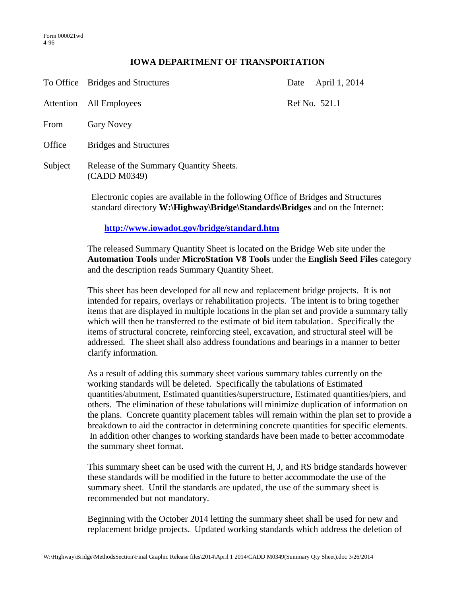## **IOWA DEPARTMENT OF TRANSPORTATION**

|         | To Office Bridges and Structures                                                                                                                         | Date | April 1, 2014 |
|---------|----------------------------------------------------------------------------------------------------------------------------------------------------------|------|---------------|
|         | Attention All Employees                                                                                                                                  |      | Ref No. 521.1 |
| From    | <b>Gary Novey</b>                                                                                                                                        |      |               |
| Office  | <b>Bridges and Structures</b>                                                                                                                            |      |               |
| Subject | Release of the Summary Quantity Sheets.<br>(CADD M0349)                                                                                                  |      |               |
|         | $\Gamma$ 1, $\Gamma$ 1, $\Gamma$ 1, $\Gamma$ 1, $\Gamma$ 1, $\Gamma$ 1, $\Gamma$ 1, $\Gamma$ 1, $\Gamma$ 1, $\Gamma$ 1, $\Gamma$ 1, $\Gamma$ 1, $\Gamma$ |      |               |

Electronic copies are available in the following Office of Bridges and Structures standard directory **W:\Highway\Bridge\Standards\Bridges** and on the Internet:

**<http://www.iowadot.gov/bridge/standard.htm>**

The released Summary Quantity Sheet is located on the Bridge Web site under the **Automation Tools** under **MicroStation V8 Tools** under the **English Seed Files** category and the description reads Summary Quantity Sheet.

This sheet has been developed for all new and replacement bridge projects. It is not intended for repairs, overlays or rehabilitation projects. The intent is to bring together items that are displayed in multiple locations in the plan set and provide a summary tally which will then be transferred to the estimate of bid item tabulation. Specifically the items of structural concrete, reinforcing steel, excavation, and structural steel will be addressed. The sheet shall also address foundations and bearings in a manner to better clarify information.

As a result of adding this summary sheet various summary tables currently on the working standards will be deleted. Specifically the tabulations of Estimated quantities/abutment, Estimated quantities/superstructure, Estimated quantities/piers, and others. The elimination of these tabulations will minimize duplication of information on the plans. Concrete quantity placement tables will remain within the plan set to provide a breakdown to aid the contractor in determining concrete quantities for specific elements. In addition other changes to working standards have been made to better accommodate the summary sheet format.

This summary sheet can be used with the current H, J, and RS bridge standards however these standards will be modified in the future to better accommodate the use of the summary sheet. Until the standards are updated, the use of the summary sheet is recommended but not mandatory.

Beginning with the October 2014 letting the summary sheet shall be used for new and replacement bridge projects. Updated working standards which address the deletion of